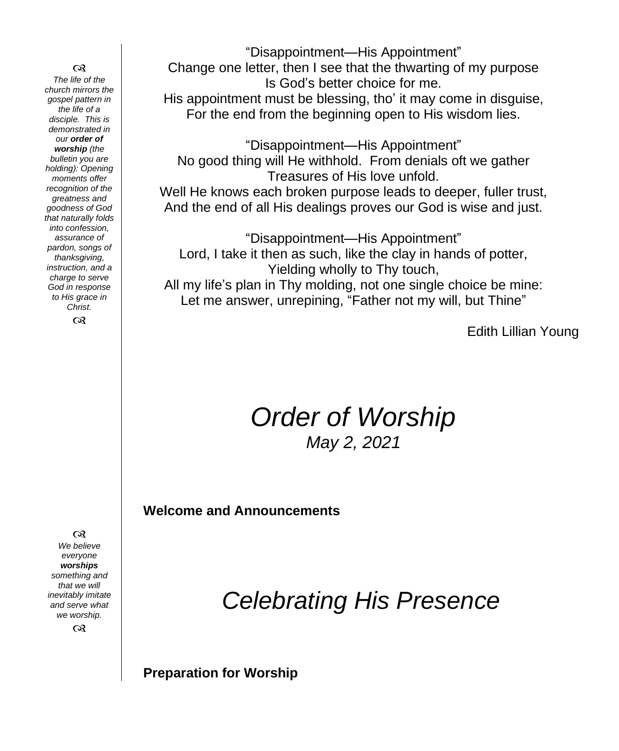෬ *The life of the church mirrors the gospel pattern in the life of a disciple. This is demonstrated in our order of worship (the bulletin you are holding): Opening moments offer recognition of the greatness and goodness of God that naturally folds into confession, assurance of pardon, songs of thanksgiving, instruction, and a charge to serve God in response to His grace in Christ.*

 $\infty$ 

 $\infty$ 

*We believe everyone worships something and that we will inevitably imitate and serve what we worship.*

 $\infty$ 

"Disappointment—His Appointment" Change one letter, then I see that the thwarting of my purpose Is God's better choice for me. His appointment must be blessing, tho' it may come in disguise, For the end from the beginning open to His wisdom lies.

"Disappointment—His Appointment" No good thing will He withhold. From denials oft we gather Treasures of His love unfold. Well He knows each broken purpose leads to deeper, fuller trust, And the end of all His dealings proves our God is wise and just.

"Disappointment—His Appointment" Lord, I take it then as such, like the clay in hands of potter, Yielding wholly to Thy touch, All my life's plan in Thy molding, not one single choice be mine: Let me answer, unrepining, "Father not my will, but Thine"

Edith Lillian Young

# *Order of Worship May 2, 2021*

### **Welcome and Announcements**

*Celebrating His Presence*

**Preparation for Worship**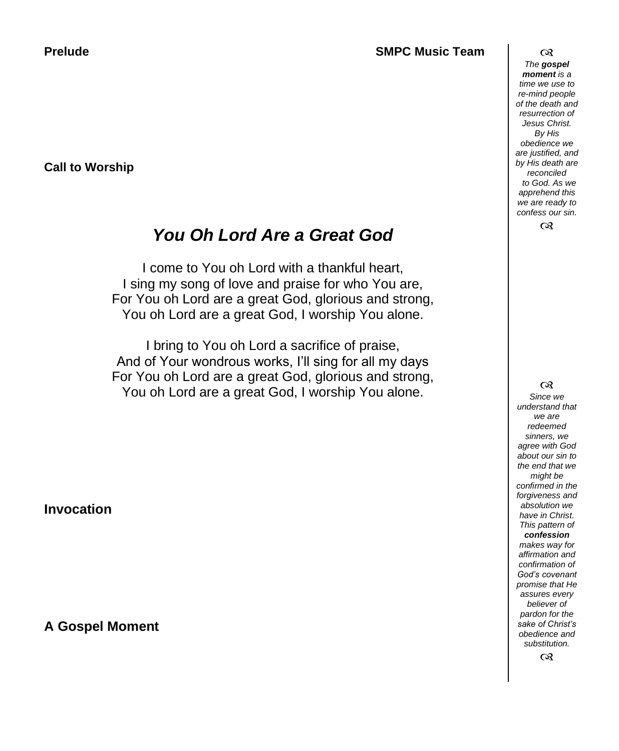**Call to Worship**

# *You Oh Lord Are a Great God*

I come to You oh Lord with a thankful heart, I sing my song of love and praise for who You are, For You oh Lord are a great God, glorious and strong, You oh Lord are a great God, I worship You alone.

I bring to You oh Lord a sacrifice of praise, And of Your wondrous works, I'll sing for all my days For You oh Lord are a great God, glorious and strong, You oh Lord are a great God, I worship You alone.

**Invocation**

**A Gospel Moment** 

 $\infty$ *The gospel moment is a time we use to re-mind people of the death and resurrection of Jesus Christ. By His obedience we are justified, and by His death are reconciled to God. As we apprehend this we are ready to confess our sin.*

 $\infty$ 

 $\infty$ 

*Since we understand that we are redeemed sinners, we agree with God about our sin to the end that we might be confirmed in the forgiveness and absolution we have in Christ. This pattern of confession makes way for affirmation and confirmation of God's covenant promise that He assures every believer of pardon for the sake of Christ's obedience and substitution.*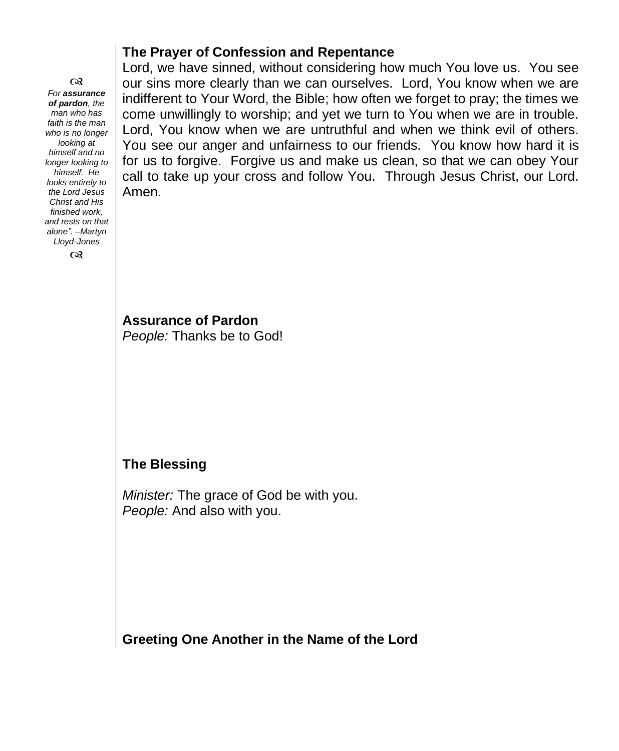#### **The Prayer of Confession and Repentance**

Lord, we have sinned, without considering how much You love us. You see our sins more clearly than we can ourselves. Lord, You know when we are indifferent to Your Word, the Bible; how often we forget to pray; the times we come unwillingly to worship; and yet we turn to You when we are in trouble. Lord, You know when we are untruthful and when we think evil of others. You see our anger and unfairness to our friends. You know how hard it is for us to forgive. Forgive us and make us clean, so that we can obey Your call to take up your cross and follow You. Through Jesus Christ, our Lord. Amen.

### **Assurance of Pardon**

*People:* Thanks be to God!

### **The Blessing**

*Minister:* The grace of God be with you. *People:* And also with you.

**Greeting One Another in the Name of the Lord**

 $\infty$ *For assurance of pardon, the man who has faith is the man who is no longer looking at himself and no longer looking to himself. He looks entirely to the Lord Jesus Christ and His finished work, and rests on that alone". –Martyn Lloyd-Jones*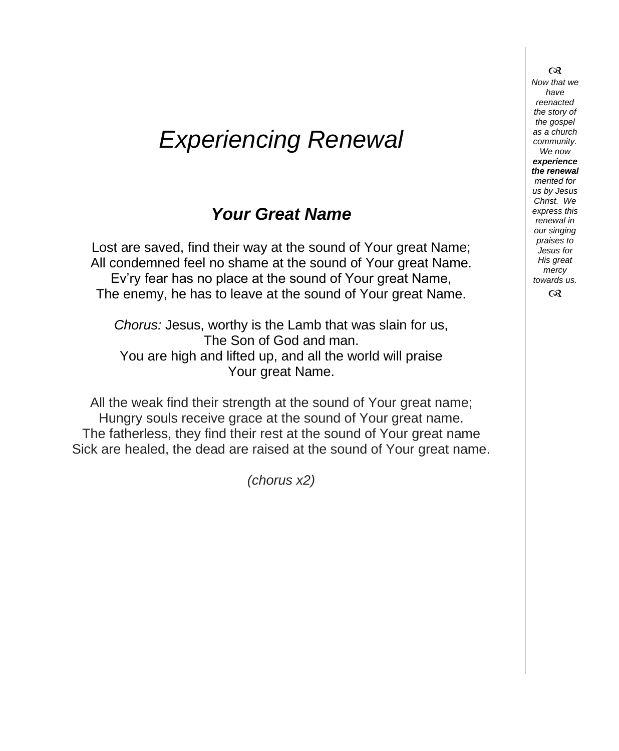# *Experiencing Renewal*

# *Your Great Name*

Lost are saved, find their way at the sound of Your great Name; All condemned feel no shame at the sound of Your great Name. Ev'ry fear has no place at the sound of Your great Name, The enemy, he has to leave at the sound of Your great Name.

*Chorus:* Jesus, worthy is the Lamb that was slain for us, The Son of God and man. You are high and lifted up, and all the world will praise Your great Name.

All the weak find their strength at the sound of Your great name; Hungry souls receive grace at the sound of Your great name. The fatherless, they find their rest at the sound of Your great name Sick are healed, the dead are raised at the sound of Your great name.

*(chorus x2)*

*Now that we have reenacted the story of the gospel as a church community. We now experience the renewal merited for us by Jesus Christ. We express this renewal in our singing praises to Jesus for His great mercy towards us.*

 $\infty$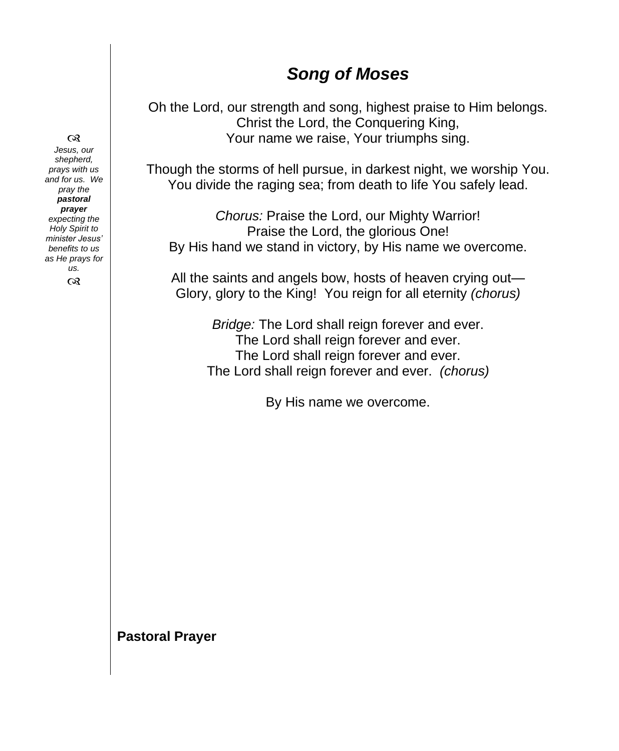# *Song of Moses*

Oh the Lord, our strength and song, highest praise to Him belongs. Christ the Lord, the Conquering King, Your name we raise, Your triumphs sing.

Though the storms of hell pursue, in darkest night, we worship You. You divide the raging sea; from death to life You safely lead.

*Chorus:* Praise the Lord, our Mighty Warrior! Praise the Lord, the glorious One! By His hand we stand in victory, by His name we overcome.

All the saints and angels bow, hosts of heaven crying out— Glory, glory to the King! You reign for all eternity *(chorus)*

*Bridge:* The Lord shall reign forever and ever. The Lord shall reign forever and ever. The Lord shall reign forever and ever. The Lord shall reign forever and ever. *(chorus)*

By His name we overcome.

#### $\infty$

*Jesus, our shepherd, prays with us and for us. We pray the pastoral prayer expecting the Holy Spirit to minister Jesus' benefits to us as He prays for us.*

 $\infty$ 

**Pastoral Prayer**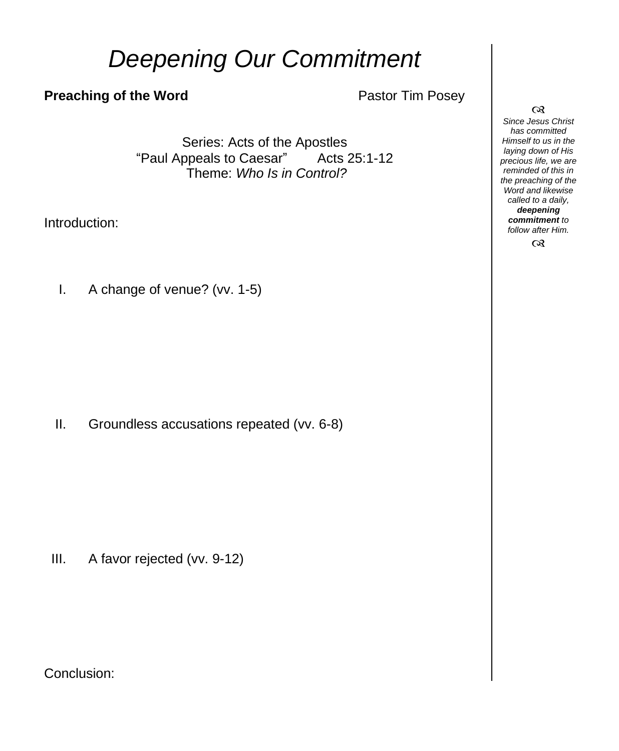# *Deepening Our Commitment*

## **Preaching of the Word Pastor Tim Posey**

Series: Acts of the Apostles "Paul Appeals to Caesar" Acts 25:1-12 Theme: *Who Is in Control?*

Introduction:

I. A change of venue? (vv. 1-5)

II. Groundless accusations repeated (vv. 6-8)

III. A favor rejected (vv. 9-12)

Conclusion:

 $\infty$ 

*Since Jesus Christ has committed Himself to us in the laying down of His precious life, we are reminded of this in the preaching of the Word and likewise called to a daily, deepening commitment to follow after Him.*